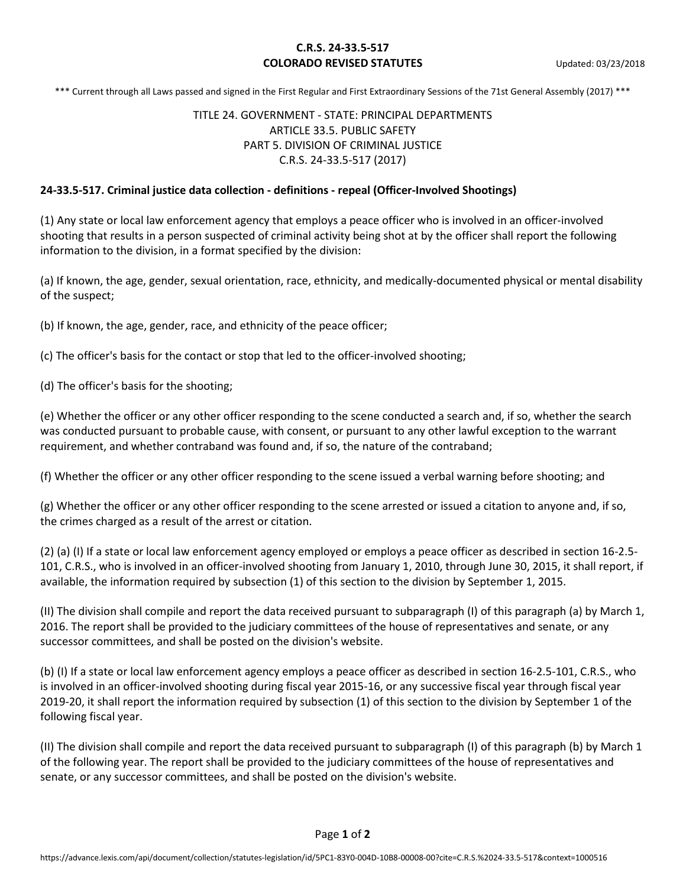## **C.R.S. 24-33.5-517 COLORADO REVISED STATUTES** Updated: 03/23/2018

\*\*\* Current through all Laws passed and signed in the First Regular and First Extraordinary Sessions of the 71st General Assembly (2017) \*\*\*

# TITLE 24. GOVERNMENT - STATE: PRINCIPAL DEPARTMENTS ARTICLE 33.5. PUBLIC SAFETY PART 5. DIVISION OF CRIMINAL JUSTICE C.R.S. 24-33.5-517 (2017)

### **24-33.5-517. Criminal justice data collection - definitions - repeal (Officer-Involved Shootings)**

(1) Any state or local law enforcement agency that employs a peace officer who is involved in an officer-involved shooting that results in a person suspected of criminal activity being shot at by the officer shall report the following information to the division, in a format specified by the division:

(a) If known, the age, gender, sexual orientation, race, ethnicity, and medically-documented physical or mental disability of the suspect;

(b) If known, the age, gender, race, and ethnicity of the peace officer;

(c) The officer's basis for the contact or stop that led to the officer-involved shooting;

(d) The officer's basis for the shooting;

(e) Whether the officer or any other officer responding to the scene conducted a search and, if so, whether the search was conducted pursuant to probable cause, with consent, or pursuant to any other lawful exception to the warrant requirement, and whether contraband was found and, if so, the nature of the contraband;

(f) Whether the officer or any other officer responding to the scene issued a verbal warning before shooting; and

(g) Whether the officer or any other officer responding to the scene arrested or issued a citation to anyone and, if so, the crimes charged as a result of the arrest or citation.

(2) (a) (I) If a state or local law enforcement agency employed or employs a peace officer as described in section 16-2.5- 101, C.R.S., who is involved in an officer-involved shooting from January 1, 2010, through June 30, 2015, it shall report, if available, the information required by subsection (1) of this section to the division by September 1, 2015.

(II) The division shall compile and report the data received pursuant to subparagraph (I) of this paragraph (a) by March 1, 2016. The report shall be provided to the judiciary committees of the house of representatives and senate, or any successor committees, and shall be posted on the division's website.

(b) (I) If a state or local law enforcement agency employs a peace officer as described in section 16-2.5-101, C.R.S., who is involved in an officer-involved shooting during fiscal year 2015-16, or any successive fiscal year through fiscal year 2019-20, it shall report the information required by subsection (1) of this section to the division by September 1 of the following fiscal year.

(II) The division shall compile and report the data received pursuant to subparagraph (I) of this paragraph (b) by March 1 of the following year. The report shall be provided to the judiciary committees of the house of representatives and senate, or any successor committees, and shall be posted on the division's website.

Page **1** of **2**